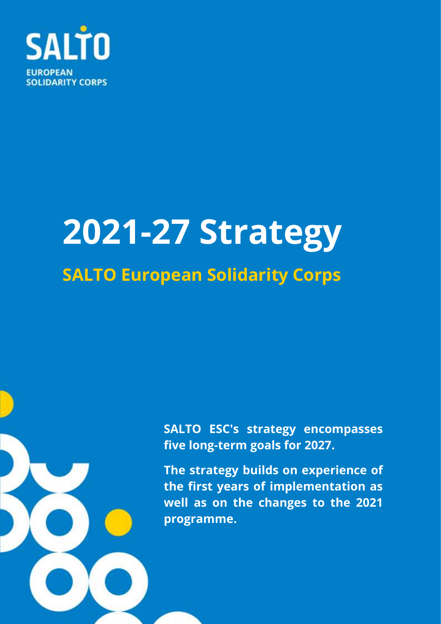

# **2021-27 Strategy SALTO European Solidarity Corps**

**SALTO ESC's strategy encompasses five long-term goals for 2027.**

**The strategy builds on experience of the first years of implementation as well as on the changes to the 2021 programme.**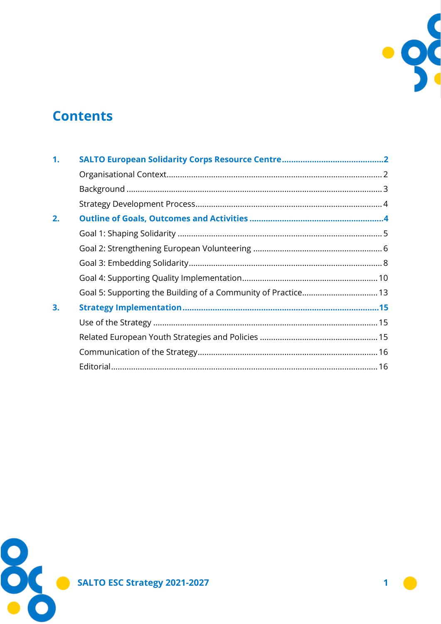

# **Contents**

| 1. |                                                               |  |
|----|---------------------------------------------------------------|--|
|    |                                                               |  |
|    |                                                               |  |
|    |                                                               |  |
| 2. |                                                               |  |
|    |                                                               |  |
|    |                                                               |  |
|    |                                                               |  |
|    |                                                               |  |
|    | Goal 5: Supporting the Building of a Community of Practice 13 |  |
| 3. |                                                               |  |
|    |                                                               |  |
|    |                                                               |  |
|    |                                                               |  |
|    |                                                               |  |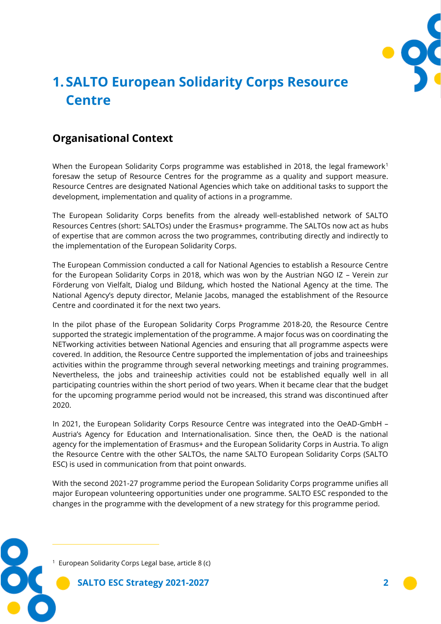

# <span id="page-2-0"></span>**1. SALTO European Solidarity Corps Resource Centre**

## <span id="page-2-1"></span>**Organisational Context**

When the European Solidarity Corps programme was established in 2018, the legal framework<sup>1</sup> foresaw the setup of Resource Centres for the programme as a quality and support measure. Resource Centres are designated National Agencies which take on additional tasks to support the development, implementation and quality of actions in a programme.

The European Solidarity Corps benefits from the already well-established network of SALTO Resources Centres (short: SALTOs) under the Erasmus+ programme. The SALTOs now act as hubs of expertise that are common across the two programmes, contributing directly and indirectly to the implementation of the European Solidarity Corps.

The European Commission conducted a call for National Agencies to establish a Resource Centre for the European Solidarity Corps in 2018, which was won by the Austrian NGO IZ – Verein zur Förderung von Vielfalt, Dialog und Bildung, which hosted the National Agency at the time. The National Agency's deputy director, Melanie Jacobs, managed the establishment of the Resource Centre and coordinated it for the next two years.

In the pilot phase of the European Solidarity Corps Programme 2018-20, the Resource Centre supported the strategic implementation of the programme. A major focus was on coordinating the NETworking activities between National Agencies and ensuring that all programme aspects were covered. In addition, the Resource Centre supported the implementation of jobs and traineeships activities within the programme through several networking meetings and training programmes. Nevertheless, the jobs and traineeship activities could not be established equally well in all participating countries within the short period of two years. When it became clear that the budget for the upcoming programme period would not be increased, this strand was discontinued after 2020.

In 2021, the European Solidarity Corps Resource Centre was integrated into the OeAD-GmbH – Austria's Agency for Education and Internationalisation. Since then, the OeAD is the national agency for the implementation of Erasmus+ and the European Solidarity Corps in Austria. To align the Resource Centre with the other SALTOs, the name SALTO European Solidarity Corps (SALTO ESC) is used in communication from that point onwards.

With the second 2021-27 programme period the European Solidarity Corps programme unifies all major European volunteering opportunities under one programme. SALTO ESC responded to the changes in the programme with the development of a new strategy for this programme period.



<sup>1</sup> European Solidarity Corps Legal base, article 8 (c)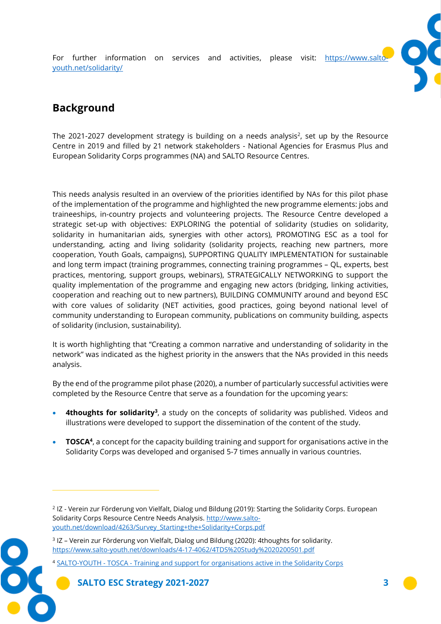For further information on services and activities, please visit: https://www.salto [youth.net/solidarity/](https://www.salto-youth.net/rc/solidarity/)



## <span id="page-3-0"></span>**Background**

The 2021-2027 development strategy is building on a needs analysis<sup>2</sup>, set up by the Resource Centre in 2019 and filled by 21 network stakeholders - National Agencies for Erasmus Plus and European Solidarity Corps programmes (NA) and SALTO Resource Centres.

This needs analysis resulted in an overview of the priorities identified by NAs for this pilot phase of the implementation of the programme and highlighted the new programme elements: jobs and traineeships, in-country projects and volunteering projects. The Resource Centre developed a strategic set-up with objectives: EXPLORING the potential of solidarity (studies on solidarity, solidarity in humanitarian aids, synergies with other actors), PROMOTING ESC as a tool for understanding, acting and living solidarity (solidarity projects, reaching new partners, more cooperation, Youth Goals, campaigns), SUPPORTING QUALITY IMPLEMENTATION for sustainable and long term impact (training programmes, connecting training programmes – QL, experts, best practices, mentoring, support groups, webinars), STRATEGICALLY NETWORKING to support the quality implementation of the programme and engaging new actors (bridging, linking activities, cooperation and reaching out to new partners), BUILDING COMMUNITY around and beyond ESC with core values of solidarity (NET activities, good practices, going beyond national level of community understanding to European community, publications on community building, aspects of solidarity (inclusion, sustainability).

It is worth highlighting that "Creating a common narrative and understanding of solidarity in the network" was indicated as the highest priority in the answers that the NAs provided in this needs analysis.

By the end of the programme pilot phase (2020), a number of particularly successful activities were completed by the Resource Centre that serve as a foundation for the upcoming years:

- **4thoughts for solidarity**<sup>3</sup>, a study on the concepts of solidarity was published. Videos and illustrations were developed to support the dissemination of the content of the study.
- **TOSCA<sup>4</sup>**, a concept for the capacity building training and support for organisations active in the Solidarity Corps was developed and organised 5-7 times annually in various countries.



<sup>2</sup> IZ - Verein zur Förderung von Vielfalt, Dialog und Bildung (2019): Starting the Solidarity Corps. European Solidarity Corps Resource Centre Needs Analysis[. http://www.salto](http://www.salto-youth.net/download/4263/Survey_Starting+the+Solidarity+Corps.pdf)[youth.net/download/4263/Survey\\_Starting+the+Solidarity+Corps.pdf](http://www.salto-youth.net/download/4263/Survey_Starting+the+Solidarity+Corps.pdf)

<sup>3</sup> IZ – Verein zur Förderung von Vielfalt, Dialog und Bildung (2020): 4thoughts for solidarity. <https://www.salto-youth.net/downloads/4-17-4062/4TDS%20Study%2020200501.pdf>

<sup>4</sup> SALTO-YOUTH - TOSCA - [Training and support for organisations active in the Solidarity Corps](https://www.salto-youth.net/rc/solidarity/training-support-community/tosca/)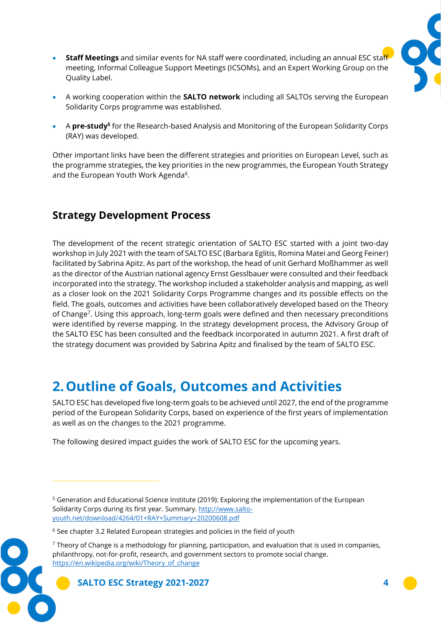

- **Staff Meetings** and similar events for NA staff were coordinated, including an annual ESC staff meeting, Informal Colleague Support Meetings (ICSOMs), and an Expert Working Group on the Quality Label.
- A working cooperation within the **SALTO network** including all SALTOs serving the European Solidarity Corps programme was established.
- A **pre-study<sup>5</sup>** for the Research-based Analysis and Monitoring of the European Solidarity Corps (RAY) was developed.

Other important links have been the different strategies and priorities on European Level, such as the programme strategies, the key priorities in the new programmes, the European Youth Strategy and the European Youth Work Agenda<sup>6</sup>.

## <span id="page-4-0"></span>**Strategy Development Process**

The development of the recent strategic orientation of SALTO ESC started with a joint two-day workshop in July 2021 with the team of SALTO ESC (Barbara Eglitis, Romina Matei and Georg Feiner) facilitated by Sabrina Apitz. As part of the workshop, the head of unit Gerhard Moßhammer as well as the director of the Austrian national agency Ernst Gesslbauer were consulted and their feedback incorporated into the strategy. The workshop included a stakeholder analysis and mapping, as well as a closer look on the 2021 Solidarity Corps Programme changes and its possible effects on the field. The goals, outcomes and activities have been collaboratively developed based on the Theory of Change<sup>7</sup>. Using this approach, long-term goals were defined and then necessary preconditions were identified by reverse mapping. In the strategy development process, the Advisory Group of the SALTO ESC has been consulted and the feedback incorporated in autumn 2021. A first draft of the strategy document was provided by Sabrina Apitz and finalised by the team of SALTO ESC.

# <span id="page-4-1"></span>**2.Outline of Goals, Outcomes and Activities**

SALTO ESC has developed five long-term goals to be achieved until 2027, the end of the programme period of the European Solidarity Corps, based on experience of the first years of implementation as well as on the changes to the 2021 programme.

The following desired impact guides the work of SALTO ESC for the upcoming years.



<sup>5</sup> Generation and Educational Science Institute (2019): Exploring the implementation of the European Solidarity Corps during its first year. Summary. [http://www.salto](http://www.salto-youth.net/download/4264/01+RAY+Summary+20200608.pdf)[youth.net/download/4264/01+RAY+Summary+20200608.pdf](http://www.salto-youth.net/download/4264/01+RAY+Summary+20200608.pdf)

<sup>&</sup>lt;sup>6</sup> See chapter 3.2 Related European strategies and policies in the field of youth

 $7$  Theory of Change is a methodology for planning, participation, and evaluation that is used in companies, philanthropy, not-for-profit, research, and government sectors to promote social change. [https://en.wikipedia.org/wiki/Theory\\_of\\_change](https://en.wikipedia.org/wiki/Theory_of_change)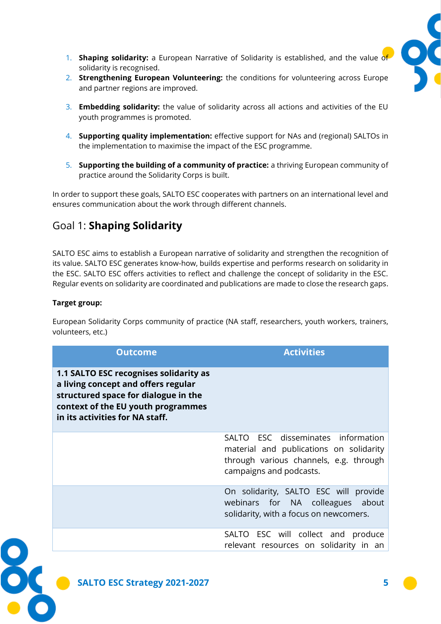

- 1. **Shaping solidarity:** a European Narrative of Solidarity is established, and the value of solidarity is recognised.
- 2. **Strengthening European Volunteering:** the conditions for volunteering across Europe and partner regions are improved.
- 3. **Embedding solidarity:** the value of solidarity across all actions and activities of the EU youth programmes is promoted.
- 4. **Supporting quality implementation:** effective support for NAs and (regional) SALTOs in the implementation to maximise the impact of the ESC programme.
- 5. **Supporting the building of a community of practice:** a thriving European community of practice around the Solidarity Corps is built.

In order to support these goals, SALTO ESC cooperates with partners on an international level and ensures communication about the work through different channels.

## <span id="page-5-0"></span>Goal 1: **Shaping Solidarity**

SALTO ESC aims to establish a European narrative of solidarity and strengthen the recognition of its value. SALTO ESC generates know-how, builds expertise and performs research on solidarity in the ESC. SALTO ESC offers activities to reflect and challenge the concept of solidarity in the ESC. Regular events on solidarity are coordinated and publications are made to close the research gaps.

#### **Target group:**

European Solidarity Corps community of practice (NA staff, researchers, youth workers, trainers, volunteers, etc.)

| <b>Outcome</b>                                                                                                                                                                                 | <b>Activities</b>                                                                                                                                  |
|------------------------------------------------------------------------------------------------------------------------------------------------------------------------------------------------|----------------------------------------------------------------------------------------------------------------------------------------------------|
| 1.1 SALTO ESC recognises solidarity as<br>a living concept and offers regular<br>structured space for dialogue in the<br>context of the EU youth programmes<br>in its activities for NA staff. |                                                                                                                                                    |
|                                                                                                                                                                                                | SALTO ESC disseminates information<br>material and publications on solidarity<br>through various channels, e.g. through<br>campaigns and podcasts. |
|                                                                                                                                                                                                | On solidarity, SALTO ESC will provide<br>webinars for NA colleagues about<br>solidarity, with a focus on newcomers.                                |
|                                                                                                                                                                                                | SALTO ESC will collect and produce<br>relevant resources on solidarity in an                                                                       |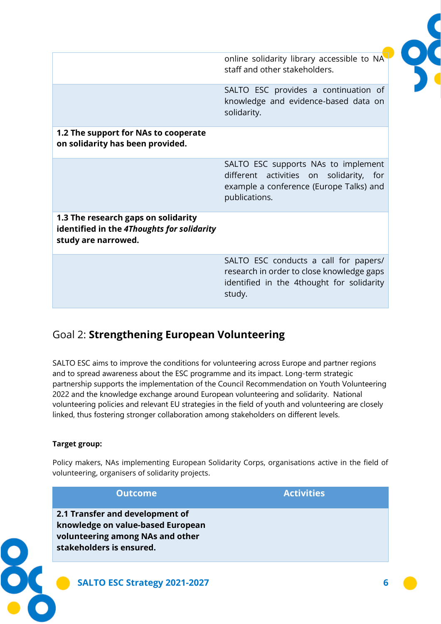|                                                                                                          | online solidarity library accessible to NA<br>staff and other stakeholders.                                                                |
|----------------------------------------------------------------------------------------------------------|--------------------------------------------------------------------------------------------------------------------------------------------|
|                                                                                                          | SALTO ESC provides a continuation of<br>knowledge and evidence-based data on<br>solidarity.                                                |
| 1.2 The support for NAs to cooperate<br>on solidarity has been provided.                                 |                                                                                                                                            |
|                                                                                                          | SALTO ESC supports NAs to implement<br>different activities on solidarity, for<br>example a conference (Europe Talks) and<br>publications. |
| 1.3 The research gaps on solidarity<br>identified in the 4Thoughts for solidarity<br>study are narrowed. |                                                                                                                                            |
|                                                                                                          | SALTO ESC conducts a call for papers/<br>research in order to close knowledge gaps<br>identified in the 4thought for solidarity<br>study.  |

## <span id="page-6-0"></span>Goal 2: **Strengthening European Volunteering**

SALTO ESC aims to improve the conditions for volunteering across Europe and partner regions and to spread awareness about the ESC programme and its impact. Long-term strategic partnership supports the implementation of the Council Recommendation on Youth Volunteering 2022 and the knowledge exchange around European volunteering and solidarity. National volunteering policies and relevant EU strategies in the field of youth and volunteering are closely linked, thus fostering stronger collaboration among stakeholders on different levels.

#### **Target group:**

Policy makers, NAs implementing European Solidarity Corps, organisations active in the field of volunteering, organisers of solidarity projects.

| <b>Outcome</b>                                                                                                                       | <b>Activities</b> |
|--------------------------------------------------------------------------------------------------------------------------------------|-------------------|
| 2.1 Transfer and development of<br>knowledge on value-based European<br>volunteering among NAs and other<br>stakeholders is ensured. |                   |
| SALTO ESC Strategy 2021-2027                                                                                                         | 6                 |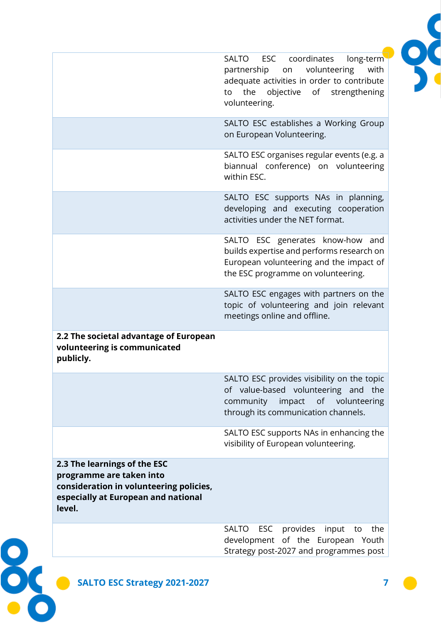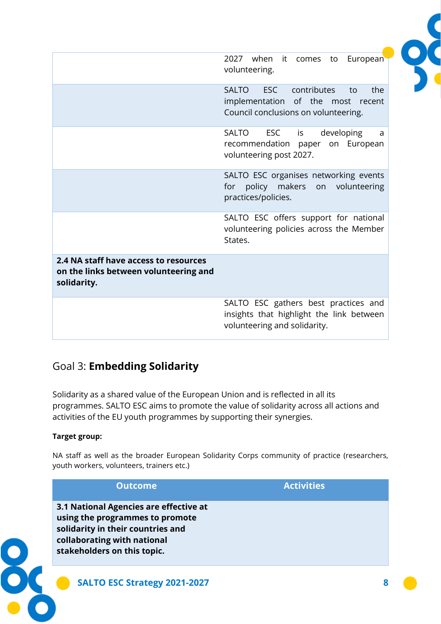|                                                                                               | 2027 when it comes<br>European<br>to<br>volunteering.                                                                               |
|-----------------------------------------------------------------------------------------------|-------------------------------------------------------------------------------------------------------------------------------------|
|                                                                                               | <b>SALTO</b><br><b>ESC</b><br>contributes<br>the<br>to<br>implementation of the most recent<br>Council conclusions on volunteering. |
|                                                                                               | <b>SALTO</b><br><b>ESC</b><br>developing<br>is<br>a<br>recommendation<br>paper on European<br>volunteering post 2027.               |
|                                                                                               | SALTO ESC organises networking events<br>for policy makers<br>on volunteering<br>practices/policies.                                |
|                                                                                               | SALTO ESC offers support for national<br>volunteering policies across the Member<br>States.                                         |
| 2.4 NA staff have access to resources<br>on the links between volunteering and<br>solidarity. |                                                                                                                                     |
|                                                                                               | SALTO ESC gathers best practices and<br>insights that highlight the link between<br>volunteering and solidarity.                    |

## <span id="page-8-0"></span>Goal 3: **Embedding Solidarity**

Solidarity as a shared value of the European Union and is reflected in all its programmes. SALTO ESC aims to promote the value of solidarity across all actions and activities of the EU youth programmes by supporting their synergies.

#### **Target group:**

NA staff as well as the broader European Solidarity Corps community of practice (researchers, youth workers, volunteers, trainers etc.)

| <b>Outcome</b>                                                                                                                                                               | <b>Activities</b> |
|------------------------------------------------------------------------------------------------------------------------------------------------------------------------------|-------------------|
| 3.1 National Agencies are effective at<br>using the programmes to promote<br>solidarity in their countries and<br>collaborating with national<br>stakeholders on this topic. |                   |
| SALTO ESC Strategy 2021-2027                                                                                                                                                 |                   |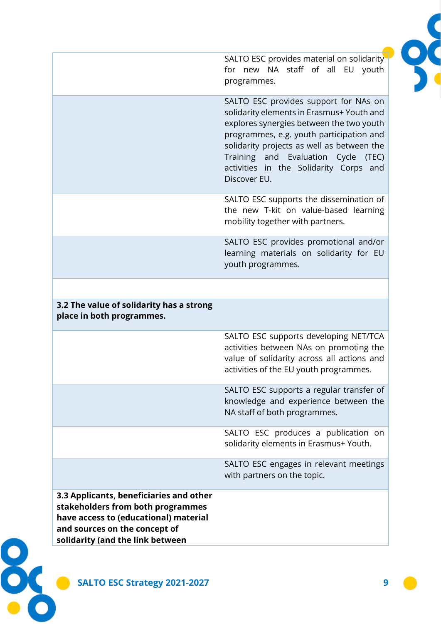SALTO ESC provides material on solidarity for new NA staff of all EU youth programmes.

SALTO ESC provides support for NAs on solidarity elements in Erasmus+ Youth and explores synergies between the two youth programmes, e.g. youth participation and solidarity projects as well as between the Training and Evaluation Cycle (TEC) activities in the Solidarity Corps and Discover EU.

SALTO ESC supports the dissemination of the new T-kit on value-based learning mobility together with partners.

SALTO ESC provides promotional and/or learning materials on solidarity for EU youth programmes.

#### **3.2 The value of solidarity has a strong place in both programmes.**

SALTO ESC supports developing NET/TCA activities between NAs on promoting the value of solidarity across all actions and activities of the EU youth programmes.

SALTO ESC supports a regular transfer of knowledge and experience between the NA staff of both programmes.

SALTO ESC produces a publication on solidarity elements in Erasmus+ Youth.

SALTO ESC engages in relevant meetings with partners on the topic.

**3.3 Applicants, beneficiaries and other stakeholders from both programmes have access to (educational) material and sources on the concept of solidarity (and the link between** 

**SALTO ESC Strategy 2021-2027 9**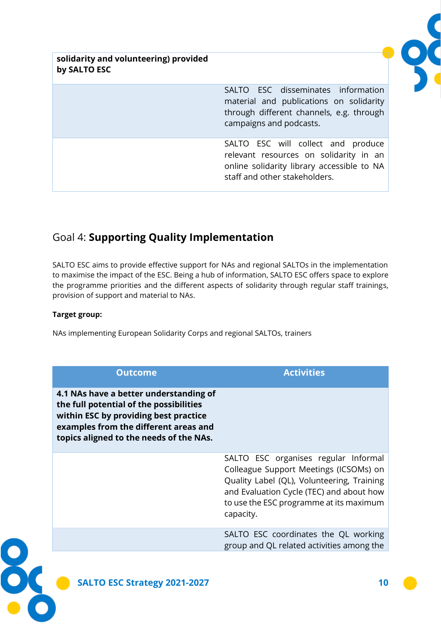**solidarity and volunteering) provided by SALTO ESC**

> SALTO ESC disseminates information material and publications on solidarity through different channels, e.g. through campaigns and podcasts.

> SALTO ESC will collect and produce relevant resources on solidarity in an online solidarity library accessible to NA staff and other stakeholders.

## <span id="page-10-0"></span>Goal 4: **Supporting Quality Implementation**

SALTO ESC aims to provide effective support for NAs and regional SALTOs in the implementation to maximise the impact of the ESC. Being a hub of information, SALTO ESC offers space to explore the programme priorities and the different aspects of solidarity through regular staff trainings, provision of support and material to NAs.

#### **Target group:**

NAs implementing European Solidarity Corps and regional SALTOs, trainers

| <b>Outcome</b>                                                                                                                                                                                                 | <b>Activities</b>                                                                                                                                                                                                                |
|----------------------------------------------------------------------------------------------------------------------------------------------------------------------------------------------------------------|----------------------------------------------------------------------------------------------------------------------------------------------------------------------------------------------------------------------------------|
| 4.1 NAs have a better understanding of<br>the full potential of the possibilities<br>within ESC by providing best practice<br>examples from the different areas and<br>topics aligned to the needs of the NAs. |                                                                                                                                                                                                                                  |
|                                                                                                                                                                                                                | SALTO ESC organises regular Informal<br>Colleague Support Meetings (ICSOMs) on<br>Quality Label (QL), Volunteering, Training<br>and Evaluation Cycle (TEC) and about how<br>to use the ESC programme at its maximum<br>capacity. |
|                                                                                                                                                                                                                | SALTO ESC coordinates the QL working<br>group and QL related activities among the                                                                                                                                                |
| <b>SALTO ESC Strategy 2021-2027</b>                                                                                                                                                                            | 10                                                                                                                                                                                                                               |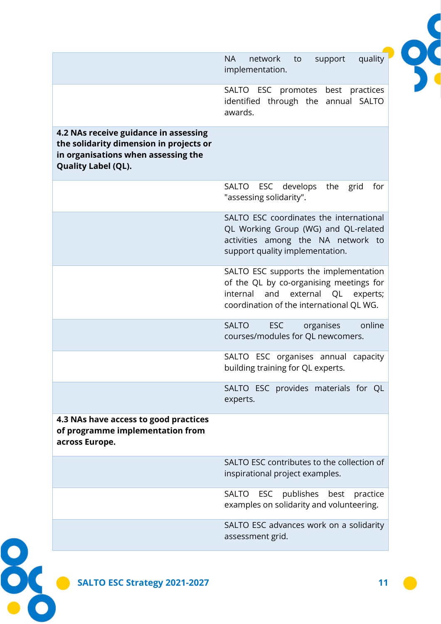|                                                                                                                                                | quality<br>network<br>support<br><b>NA</b><br>to<br>implementation.                                                                                               |
|------------------------------------------------------------------------------------------------------------------------------------------------|-------------------------------------------------------------------------------------------------------------------------------------------------------------------|
|                                                                                                                                                | SALTO ESC promotes best practices<br>identified through the annual SALTO<br>awards.                                                                               |
| 4.2 NAs receive guidance in assessing<br>the solidarity dimension in projects or<br>in organisations when assessing the<br>Quality Label (QL). |                                                                                                                                                                   |
|                                                                                                                                                | ESC develops<br>grid<br><b>SALTO</b><br>the<br>for<br>"assessing solidarity".                                                                                     |
|                                                                                                                                                | SALTO ESC coordinates the international<br>QL Working Group (WG) and QL-related<br>activities among the NA network to<br>support quality implementation.          |
|                                                                                                                                                | SALTO ESC supports the implementation<br>of the QL by co-organising meetings for<br>internal and external QL experts;<br>coordination of the international QL WG. |
|                                                                                                                                                | online<br><b>SALTO</b><br><b>ESC</b><br>organises<br>courses/modules for QL newcomers.                                                                            |
|                                                                                                                                                | SALTO ESC organises annual capacity<br>building training for QL experts.                                                                                          |
|                                                                                                                                                | SALTO ESC provides materials for QL<br>experts.                                                                                                                   |
| 4.3 NAs have access to good practices<br>of programme implementation from<br>across Europe.                                                    |                                                                                                                                                                   |
|                                                                                                                                                | SALTO ESC contributes to the collection of<br>inspirational project examples.                                                                                     |
|                                                                                                                                                | SALTO ESC publishes best practice<br>examples on solidarity and volunteering.                                                                                     |
|                                                                                                                                                | SALTO ESC advances work on a solidarity<br>assessment grid.                                                                                                       |
|                                                                                                                                                |                                                                                                                                                                   |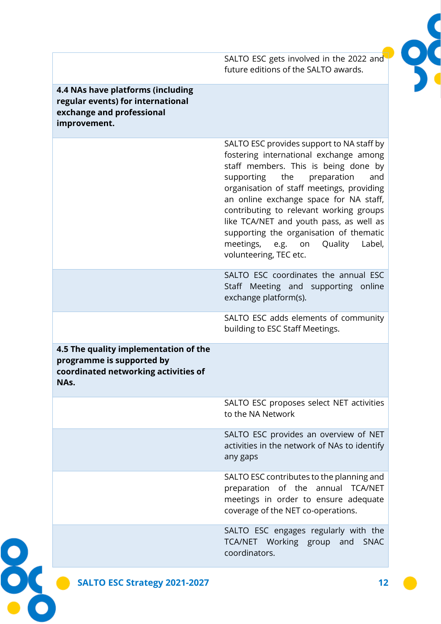SALTO ESC gets involved in the 2022 and future editions of the SALTO awards.

#### **4.4 NAs have platforms (including regular events) for international exchange and professional improvement.**

SALTO ESC provides support to NA staff by fostering international exchange among staff members. This is being done by supporting the preparation and organisation of staff meetings, providing an online exchange space for NA staff, contributing to relevant working groups like TCA/NET and youth pass, as well as supporting the organisation of thematic meetings, e.g. on Quality Label, volunteering, TEC etc.

SALTO ESC coordinates the annual ESC Staff Meeting and supporting online exchange platform(s).

SALTO ESC adds elements of community building to ESC Staff Meetings.

**4.5 The quality implementation of the programme is supported by coordinated networking activities of NAs.**

> SALTO ESC proposes select NET activities to the NA Network

> SALTO ESC provides an overview of NET activities in the network of NAs to identify any gaps

> SALTO ESC contributes to the planning and preparation of the annual TCA/NET meetings in order to ensure adequate coverage of the NET co-operations.

> SALTO ESC engages regularly with the TCA/NET Working group and SNAC coordinators.

ŏ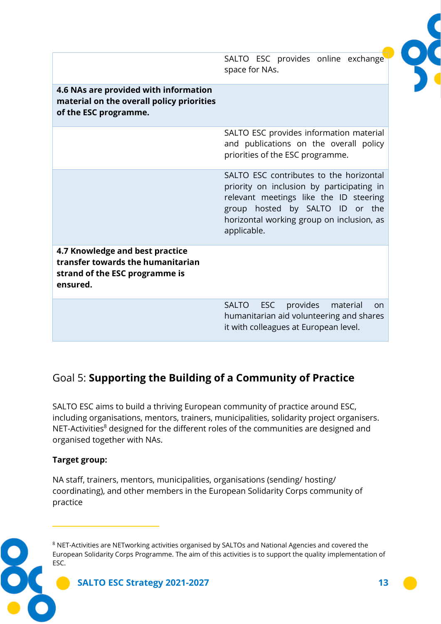|                                                                                                                    | SALTO ESC provides online exchange<br>space for NAs.                                                                                                                                                                          |
|--------------------------------------------------------------------------------------------------------------------|-------------------------------------------------------------------------------------------------------------------------------------------------------------------------------------------------------------------------------|
| 4.6 NAs are provided with information<br>material on the overall policy priorities<br>of the ESC programme.        |                                                                                                                                                                                                                               |
|                                                                                                                    | SALTO ESC provides information material<br>and publications on the overall policy<br>priorities of the ESC programme.                                                                                                         |
|                                                                                                                    | SALTO ESC contributes to the horizontal<br>priority on inclusion by participating in<br>relevant meetings like the ID steering<br>group hosted by SALTO ID or the<br>horizontal working group on inclusion, as<br>applicable. |
| 4.7 Knowledge and best practice<br>transfer towards the humanitarian<br>strand of the ESC programme is<br>ensured. |                                                                                                                                                                                                                               |
|                                                                                                                    | provides<br><b>SALTO</b><br>ESC<br>material<br>on.<br>humanitarian aid volunteering and shares<br>it with colleagues at European level.                                                                                       |

## <span id="page-13-0"></span>Goal 5: **Supporting the Building of a Community of Practice**

SALTO ESC aims to build a thriving European community of practice around ESC, including organisations, mentors, trainers, municipalities, solidarity project organisers. NET-Activities<sup>8</sup> designed for the different roles of the communities are designed and organised together with NAs.

### **Target group:**

NA staff, trainers, mentors, municipalities, organisations (sending/ hosting/ coordinating), and other members in the European Solidarity Corps community of practice

**SALTO ESC Strategy 2021-2027 13** <sup>8</sup> NET-Activities are NETworking activities organised by SALTOs and National Agencies and covered the European Solidarity Corps Programme. The aim of this activities is to support the quality implementation of ESC.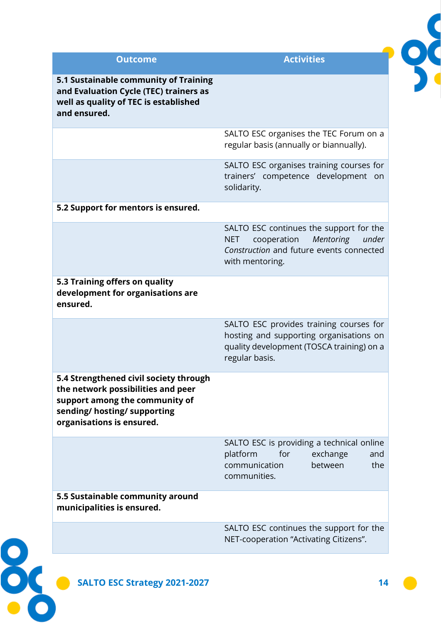| <b>Outcome</b>                                                                                                                                                              | <b>Activities</b>                                                                                                                                         |
|-----------------------------------------------------------------------------------------------------------------------------------------------------------------------------|-----------------------------------------------------------------------------------------------------------------------------------------------------------|
| 5.1 Sustainable community of Training<br>and Evaluation Cycle (TEC) trainers as<br>well as quality of TEC is established<br>and ensured.                                    |                                                                                                                                                           |
|                                                                                                                                                                             | SALTO ESC organises the TEC Forum on a<br>regular basis (annually or biannually).                                                                         |
|                                                                                                                                                                             | SALTO ESC organises training courses for<br>trainers' competence development on<br>solidarity.                                                            |
| 5.2 Support for mentors is ensured.                                                                                                                                         |                                                                                                                                                           |
|                                                                                                                                                                             | SALTO ESC continues the support for the<br>cooperation<br>Mentoring<br>under<br><b>NET</b><br>Construction and future events connected<br>with mentoring. |
| 5.3 Training offers on quality<br>development for organisations are<br>ensured.                                                                                             |                                                                                                                                                           |
|                                                                                                                                                                             | SALTO ESC provides training courses for<br>hosting and supporting organisations on<br>quality development (TOSCA training) on a<br>regular basis.         |
| 5.4 Strengthened civil society through<br>the network possibilities and peer<br>support among the community of<br>sending/ hosting/ supporting<br>organisations is ensured. |                                                                                                                                                           |
|                                                                                                                                                                             | SALTO ESC is providing a technical online<br>platform<br>for<br>exchange<br>and<br>the<br>communication<br>between<br>communities.                        |
| 5.5 Sustainable community around<br>municipalities is ensured.                                                                                                              |                                                                                                                                                           |
|                                                                                                                                                                             | SALTO ESC continues the support for the<br>NET-cooperation "Activating Citizens".                                                                         |
| <b>SALTO ESC Strategy 2021-2027</b>                                                                                                                                         |                                                                                                                                                           |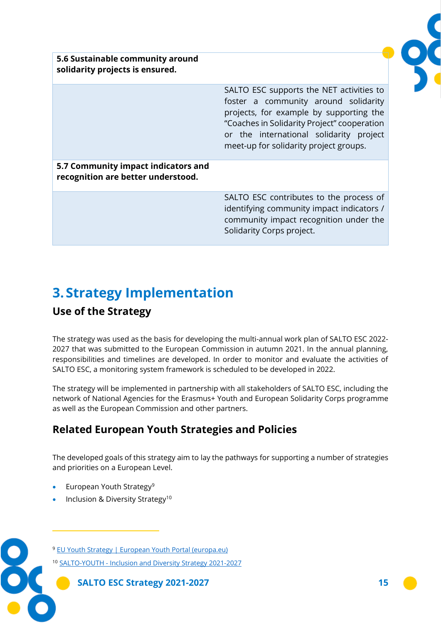

**5.6 Sustainable community around solidarity projects is ensured.**

> SALTO ESC supports the NET activities to foster a community around solidarity projects, for example by supporting the "Coaches in Solidarity Project" cooperation or the international solidarity project meet-up for solidarity project groups.

**5.7 Community impact indicators and recognition are better understood.**

> SALTO ESC contributes to the process of identifying community impact indicators / community impact recognition under the Solidarity Corps project.

# <span id="page-15-0"></span>**3. Strategy Implementation**

## <span id="page-15-1"></span>**Use of the Strategy**

The strategy was used as the basis for developing the multi-annual work plan of SALTO ESC 2022- 2027 that was submitted to the European Commission in autumn 2021. In the annual planning, responsibilities and timelines are developed. In order to monitor and evaluate the activities of SALTO ESC, a monitoring system framework is scheduled to be developed in 2022.

The strategy will be implemented in partnership with all stakeholders of SALTO ESC, including the network of National Agencies for the Erasmus+ Youth and European Solidarity Corps programme as well as the European Commission and other partners.

## <span id="page-15-2"></span>**Related European Youth Strategies and Policies**

The developed goals of this strategy aim to lay the pathways for supporting a number of strategies and priorities on a European Level.

- European Youth Strategy<sup>9</sup>
- Inclusion & Diversity Strategy<sup>10</sup>

<sup>9</sup> [EU Youth Strategy | European Youth Portal \(europa.eu\)](https://europa.eu/youth/strategy_en)

<sup>10</sup> SALTO-YOUTH - [Inclusion and Diversity Strategy 2021-2027](https://www.salto-youth.net/rc/inclusion/inclusionstrategy/)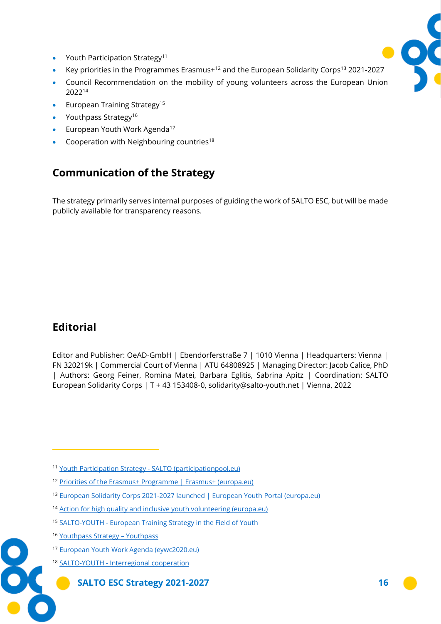- Youth Participation Strategy<sup>11</sup>
- Key priorities in the Programmes Erasmus $+$ <sup>12</sup> and the European Solidarity Corps<sup>13</sup> 2021-2027
- Council Recommendation on the mobility of young volunteers across the European Union 2022<sup>14</sup>
- European Training Strategy<sup>15</sup>
- Youthpass Strategy<sup>16</sup>
- European Youth Work Agenda<sup>17</sup>
- Cooperation with Neighbouring countries<sup>18</sup>

## <span id="page-16-0"></span>**Communication of the Strategy**

The strategy primarily serves internal purposes of guiding the work of SALTO ESC, but will be made publicly available for transparency reasons.

## <span id="page-16-1"></span>**Editorial**

Editor and Publisher: OeAD-GmbH | Ebendorferstraße 7 | 1010 Vienna | Headquarters: Vienna | FN 320219k | Commercial Court of Vienna | ATU 64808925 | Managing Director: Jacob Calice, PhD | Authors: Georg Feiner, Romina Matei, Barbara Eglitis, Sabrina Apitz | Coordination: SALTO European Solidarity Corps | T + 43 153408-0, solidarity@salto-youth.net | Vienna, 2022

- <sup>13</sup> [European Solidarity Corps 2021-2027 launched | European Youth](https://europa.eu/youth/news/european-solidarity-corps-2021-2027-launched_en) Portal (europa.eu)
- <sup>14</sup> [Action for high quality and inclusive youth volunteering \(europa.eu\)](https://ec.europa.eu/commission/presscorner/detail/en/ip_22_284)
- 15 SALTO-YOUTH [European Training Strategy in the Field of Youth](https://www.salto-youth.net/rc/training-and-cooperation/trainingstrategy/)
- <sup>16</sup> [Youthpass Strategy](https://www.youthpass.eu/en/about-youthpass/youthpass-strategy/)  Youthpass
- <sup>17</sup> [European Youth Work Agenda \(eywc2020.eu\)](https://www.eywc2020.eu/en/agenda/)
- <sup>18</sup> SALTO-YOUTH [Interregional cooperation](https://www.salto-youth.net/about/regionalcooperation/)



<sup>11</sup> [Youth Participation Strategy -](https://participationpool.eu/resource-category/youth-participation/youth-participation-strategy/) SALTO (participationpool.eu)

<sup>12</sup> [Priorities of the Erasmus+ Programme | Erasmus+ \(europa.eu\)](https://erasmus-plus.ec.europa.eu/programme-guide/part-a/priorities-of-the-erasmus-programme)